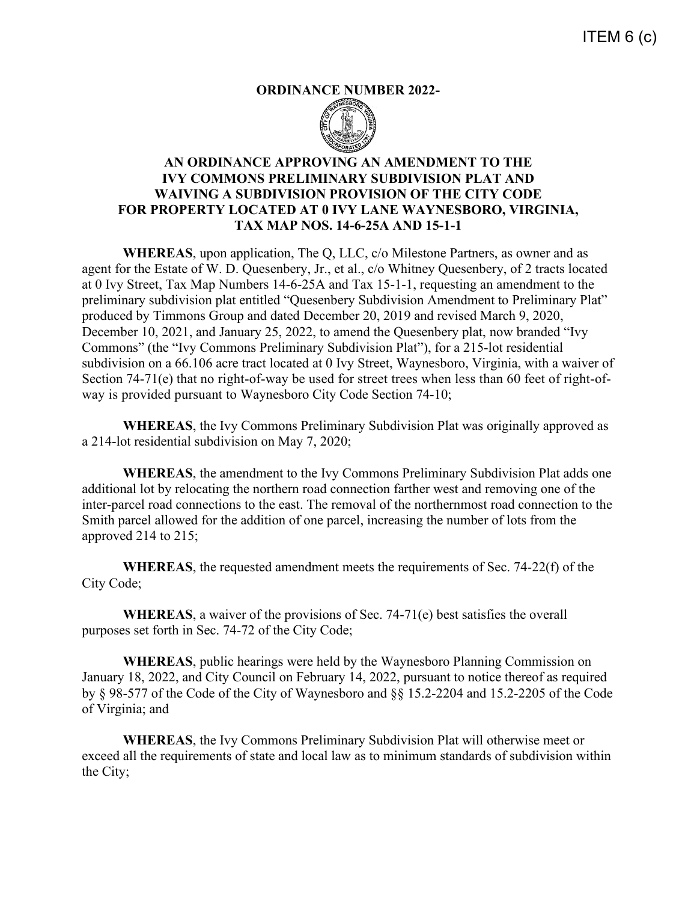## **ORDINANCE NUMBER 2022-**



## **AN ORDINANCE APPROVING AN AMENDMENT TO THE IVY COMMONS PRELIMINARY SUBDIVISION PLAT AND WAIVING A SUBDIVISION PROVISION OF THE CITY CODE FOR PROPERTY LOCATED AT 0 IVY LANE WAYNESBORO, VIRGINIA, TAX MAP NOS. 14-6-25A AND 15-1-1**

**WHEREAS**, upon application, The Q, LLC, c/o Milestone Partners, as owner and as agent for the Estate of W. D. Quesenbery, Jr., et al., c/o Whitney Quesenbery, of 2 tracts located at 0 Ivy Street, Tax Map Numbers 14-6-25A and Tax 15-1-1, requesting an amendment to the preliminary subdivision plat entitled "Quesenbery Subdivision Amendment to Preliminary Plat" produced by Timmons Group and dated December 20, 2019 and revised March 9, 2020, December 10, 2021, and January 25, 2022, to amend the Quesenbery plat, now branded "Ivy Commons" (the "Ivy Commons Preliminary Subdivision Plat"), for a 215-lot residential subdivision on a 66.106 acre tract located at 0 Ivy Street, Waynesboro, Virginia, with a waiver of Section 74-71(e) that no right-of-way be used for street trees when less than 60 feet of right-ofway is provided pursuant to Waynesboro City Code Section 74-10;

**WHEREAS**, the Ivy Commons Preliminary Subdivision Plat was originally approved as a 214-lot residential subdivision on May 7, 2020;

**WHEREAS**, the amendment to the Ivy Commons Preliminary Subdivision Plat adds one additional lot by relocating the northern road connection farther west and removing one of the inter-parcel road connections to the east. The removal of the northernmost road connection to the Smith parcel allowed for the addition of one parcel, increasing the number of lots from the approved 214 to 215;

**WHEREAS**, the requested amendment meets the requirements of Sec. 74-22(f) of the City Code;

**WHEREAS**, a waiver of the provisions of Sec. 74-71(e) best satisfies the overall purposes set forth in Sec. 74-72 of the City Code;

**WHEREAS**, public hearings were held by the Waynesboro Planning Commission on January 18, 2022, and City Council on February 14, 2022, pursuant to notice thereof as required by § 98-577 of the Code of the City of Waynesboro and §§ 15.2-2204 and 15.2-2205 of the Code of Virginia; and

**WHEREAS**, the Ivy Commons Preliminary Subdivision Plat will otherwise meet or exceed all the requirements of state and local law as to minimum standards of subdivision within the City;